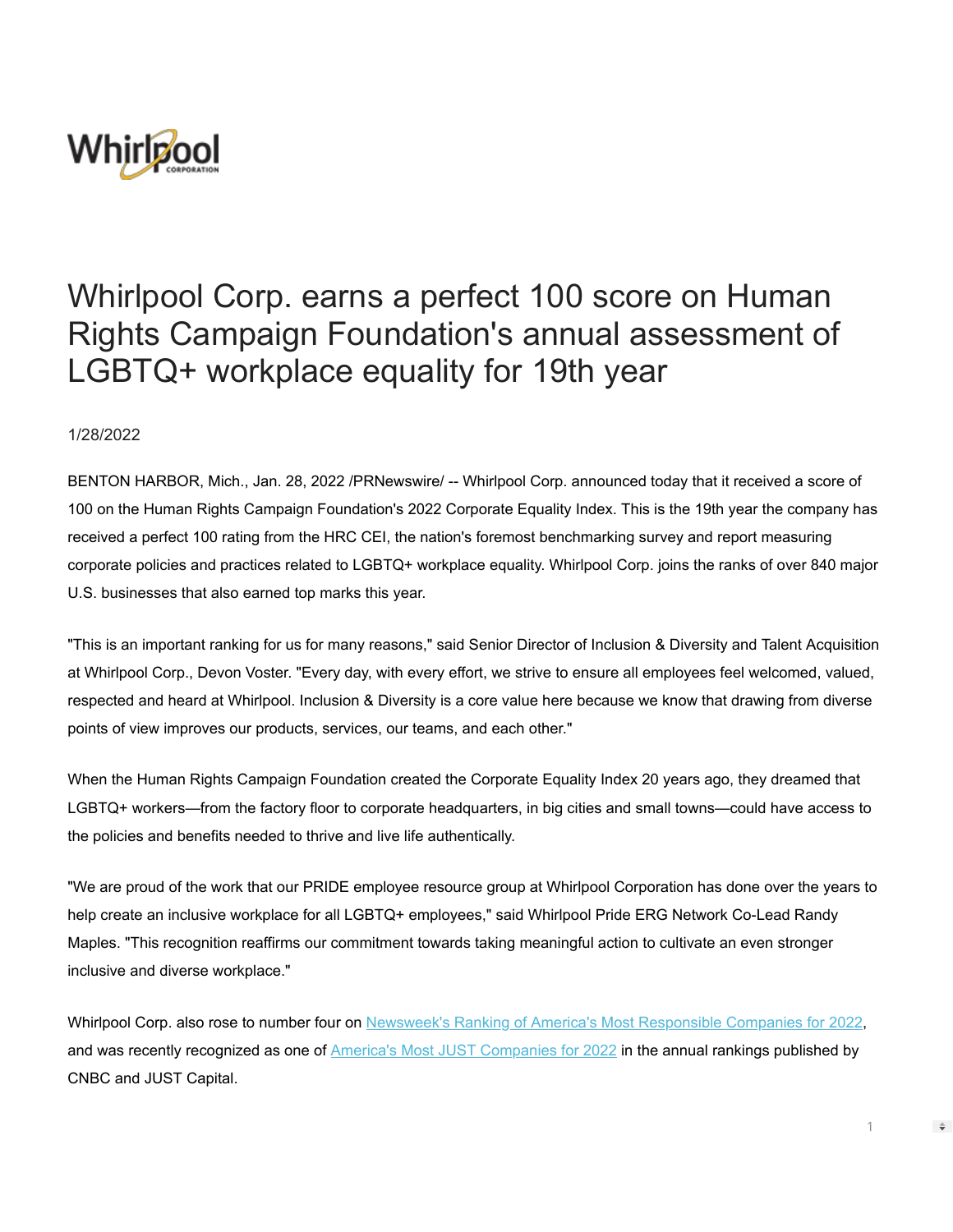

## Whirlpool Corp. earns a perfect 100 score on Human Rights Campaign Foundation's annual assessment of LGBTQ+ workplace equality for 19th year

1/28/2022

BENTON HARBOR, Mich., Jan. 28, 2022 /PRNewswire/ -- Whirlpool Corp. announced today that it received a score of 100 on the Human Rights Campaign Foundation's 2022 Corporate Equality Index. This is the 19th year the company has received a perfect 100 rating from the HRC CEI, the nation's foremost benchmarking survey and report measuring corporate policies and practices related to LGBTQ+ workplace equality. Whirlpool Corp. joins the ranks of over 840 major U.S. businesses that also earned top marks this year.

"This is an important ranking for us for many reasons," said Senior Director of Inclusion & Diversity and Talent Acquisition at Whirlpool Corp., Devon Voster. "Every day, with every effort, we strive to ensure all employees feel welcomed, valued, respected and heard at Whirlpool. Inclusion & Diversity is a core value here because we know that drawing from diverse points of view improves our products, services, our teams, and each other."

When the Human Rights Campaign Foundation created the Corporate Equality Index 20 years ago, they dreamed that LGBTQ+ workers—from the factory floor to corporate headquarters, in big cities and small towns—could have access to the policies and benefits needed to thrive and live life authentically.

"We are proud of the work that our PRIDE employee resource group at Whirlpool Corporation has done over the years to help create an inclusive workplace for all LGBTQ+ employees," said Whirlpool Pride ERG Network Co-Lead Randy Maples. "This recognition reaffirms our commitment towards taking meaningful action to cultivate an even stronger inclusive and diverse workplace."

Whirlpool Corp. also rose to number four on [Newsweek's Ranking of America's Most Responsible Companies for 2022](https://c212.net/c/link/?t=0&l=en&o=3427007-1&h=3540060959&u=https%3A%2F%2Fwhirlpoolcorp.com%2Fnumber-four-newsweeks-americas-most-responsible-companies-2022%2F&a=Newsweek%27s+Ranking+of+America%27s+Most+Responsible+Companies+for+2022), and was recently recognized as one of [America's Most JUST Companies for 2022](https://c212.net/c/link/?t=0&l=en&o=3427007-1&h=1361920592&u=https%3A%2F%2Fwhirlpoolcorp.com%2Fwhirlpool-corporation-named-one-of-americas-most-just-companies-for-2022%2F&a=America%27s+Most+JUST+Companies+for+2022) in the annual rankings published by CNBC and JUST Capital.

1

 $\Rightarrow$